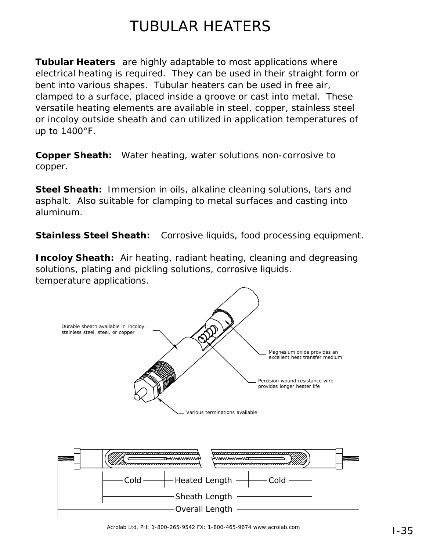## TUBULAR HEATERS

**Tubular Heaters** are highly adaptable to most applications where electrical heating is required. They can be used in their straight form or bent into various shapes. Tubular heaters can be used in free air, clamped to a surface, placed inside a groove or cast into metal. These versatile heating elements are available in steel, copper, stainless steel or incoloy outside sheath and can utilized in application temperatures of up to 1400°F.

**Copper Sheath:** Water heating, water solutions non-corrosive to copper.

**Steel Sheath:** Immersion in oils, alkaline cleaning solutions, tars and asphalt. Also suitable for clamping to metal surfaces and casting into aluminum.

**Stainless Steel Sheath:** Corrosive liquids, food processing equipment.

**Incoloy Sheath:** Air heating, radiant heating, cleaning and degreasing solutions, plating and pickling solutions, corrosive liquids. temperature applications.

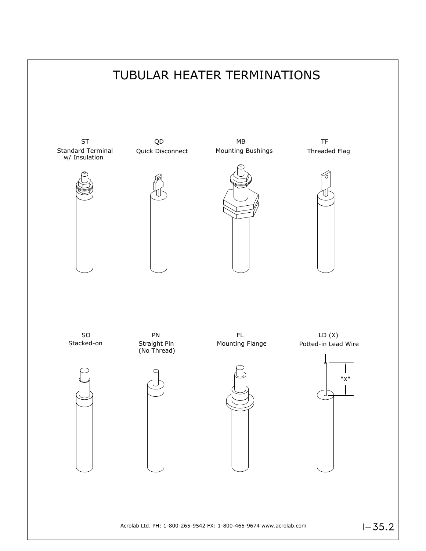

 $1 - 35.2$